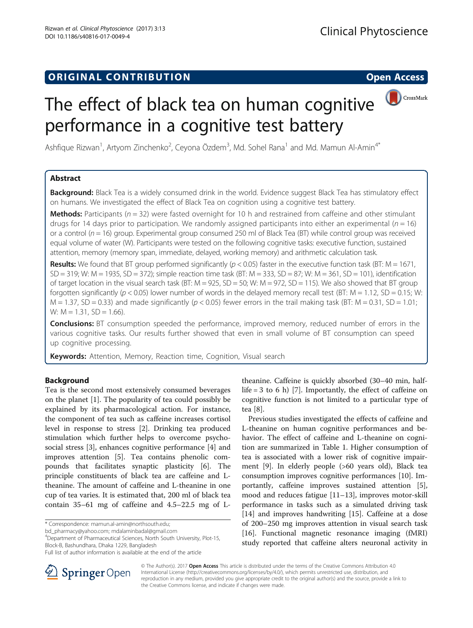## **ORIGINAL CONTRIBUTION CONTRIBUTION CONTRIBUTION**



# The effect of black tea on human cognitive performance in a cognitive test battery

Ashfique Rizwan<sup>1</sup>, Artyom Zinchenko<sup>2</sup>, Ceyona Özdem<sup>3</sup>, Md. Sohel Rana<sup>1</sup> and Md. Mamun Al-Amin<sup>4\*</sup>

## Abstract

Background: Black Tea is a widely consumed drink in the world. Evidence suggest Black Tea has stimulatory effect on humans. We investigated the effect of Black Tea on cognition using a cognitive test battery.

**Methods:** Participants ( $n = 32$ ) were fasted overnight for 10 h and restrained from caffeine and other stimulant drugs for 14 days prior to participation. We randomly assigned participants into either an experimental ( $n = 16$ ) or a control ( $n = 16$ ) group. Experimental group consumed 250 ml of Black Tea (BT) while control group was received equal volume of water (W). Participants were tested on the following cognitive tasks: executive function, sustained attention, memory (memory span, immediate, delayed, working memory) and arithmetic calculation task.

Results: We found that BT group performed significantly ( $p < 0.05$ ) faster in the executive function task (BT: M = 1671,  $SD = 319$ ; W: M = 1935,  $SD = 372$ ); simple reaction time task (BT: M = 333, SD = 87; W: M = 361, SD = 101), identification of target location in the visual search task (BT:  $M = 925$ ,  $SD = 50$ ; W:  $M = 972$ ,  $SD = 115$ ). We also showed that BT group forgotten significantly ( $p < 0.05$ ) lower number of words in the delayed memory recall test (BT: M = 1.12, SD = 0.15; W:  $M = 1.37$ , SD = 0.33) and made significantly ( $p < 0.05$ ) fewer errors in the trail making task (BT: M = 0.31, SD = 1.01; W:  $M = 1.31$ ,  $SD = 1.66$ ).

Conclusions: BT consumption speeded the performance, improved memory, reduced number of errors in the various cognitive tasks. Our results further showed that even in small volume of BT consumption can speed up cognitive processing.

Keywords: Attention, Memory, Reaction time, Cognition, Visual search

## Background

Tea is the second most extensively consumed beverages on the planet [\[1](#page-6-0)]. The popularity of tea could possibly be explained by its pharmacological action. For instance, the component of tea such as caffeine increases cortisol level in response to stress [\[2](#page-6-0)]. Drinking tea produced stimulation which further helps to overcome psychosocial stress [[3\]](#page-6-0), enhances cognitive performance [\[4](#page-6-0)] and improves attention [[5](#page-6-0)]. Tea contains phenolic compounds that facilitates synaptic plasticity [[6\]](#page-6-0). The principle constituents of black tea are caffeine and Ltheanine. The amount of caffeine and L-theanine in one cup of tea varies. It is estimated that, 200 ml of black tea contain 35–61 mg of caffeine and 4.5–22.5 mg of L-

\* Correspondence: [mamun.al-amin@northsouth.edu;](mailto:mamun.al-amin@northsouth.edu)

<sup>4</sup>Department of Pharmaceutical Sciences, North South University, Plot-15, Block-B, Bashundhara, Dhaka 1229, Bangladesh



Previous studies investigated the effects of caffeine and L-theanine on human cognitive performances and behavior. The effect of caffeine and L-theanine on cognition are summarized in Table [1.](#page-1-0) Higher consumption of tea is associated with a lower risk of cognitive impairment [\[9\]](#page-6-0). In elderly people (>60 years old), Black tea consumption improves cognitive performances [\[10\]](#page-6-0). Importantly, caffeine improves sustained attention [\[5](#page-6-0)], mood and reduces fatigue [[11](#page-6-0)–[13](#page-6-0)], improves motor-skill performance in tasks such as a simulated driving task [[14\]](#page-6-0) and improves handwriting [[15](#page-6-0)]. Caffeine at a dose of 200–250 mg improves attention in visual search task [[16\]](#page-6-0). Functional magnetic resonance imaging (fMRI) study reported that caffeine alters neuronal activity in



© The Author(s). 2017 **Open Access** This article is distributed under the terms of the Creative Commons Attribution 4.0 International License ([http://creativecommons.org/licenses/by/4.0/\)](http://creativecommons.org/licenses/by/4.0/), which permits unrestricted use, distribution, and reproduction in any medium, provided you give appropriate credit to the original author(s) and the source, provide a link to the Creative Commons license, and indicate if changes were made.

[bd\\_pharmacy@yahoo.com;](mailto:bd_pharmacy@yahoo.com) [mdalaminbadal@gmail.com](mailto:mdalaminbadal@gmail.com) <sup>4</sup>

Full list of author information is available at the end of the article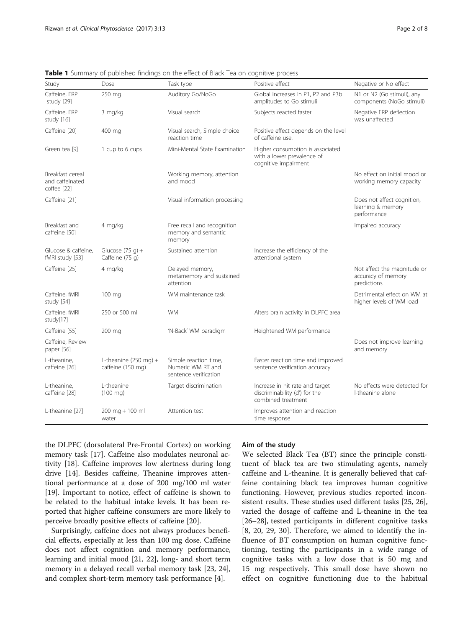| Study                                              | Dose                                                 | Task type                                                           | Positive effect                                                                        | Negative or No effect                                            |
|----------------------------------------------------|------------------------------------------------------|---------------------------------------------------------------------|----------------------------------------------------------------------------------------|------------------------------------------------------------------|
| Caffeine, ERP<br>study [29]                        | 250 mg                                               | Auditory Go/NoGo                                                    | Global increases in P1, P2 and P3b<br>amplitudes to Go stimuli                         | N1 or N2 (Go stimuli), any<br>components (NoGo stimuli)          |
| Caffeine, ERP<br>study [16]                        | 3 mg/kg                                              | Visual search                                                       | Subjects reacted faster                                                                | Negative ERP deflection<br>was unaffected                        |
| Caffeine [20]                                      | 400 mg                                               | Visual search, Simple choice<br>reaction time                       | Positive effect depends on the level<br>of caffeine use.                               |                                                                  |
| Green tea [9]                                      | 1 cup to 6 cups                                      | Mini-Mental State Examination                                       | Higher consumption is associated<br>with a lower prevalence of<br>cognitive impairment |                                                                  |
| Breakfast cereal<br>and caffeinated<br>coffee [22] |                                                      | Working memory, attention<br>and mood                               |                                                                                        | No effect on initial mood or<br>working memory capacity          |
| Caffeine [21]                                      |                                                      | Visual information processing                                       |                                                                                        | Does not affect cognition,<br>learning & memory<br>performance   |
| Breakfast and<br>caffeine [50]                     | 4 mg/kg                                              | Free recall and recognition<br>memory and semantic<br>memory        |                                                                                        | Impaired accuracy                                                |
| Glucose & caffeine,<br>fMRI study [53]             | Glucose $(75 q) +$<br>Caffeine (75 g)                | Sustained attention                                                 | Increase the efficiency of the<br>attentional system                                   |                                                                  |
| Caffeine [25]                                      | 4 mg/ka                                              | Delayed memory,<br>metamemory and sustained<br>attention            |                                                                                        | Not affect the magnitude or<br>accuracy of memory<br>predictions |
| Caffeine, fMRI<br>study [54]                       | 100 mg                                               | WM maintenance task                                                 |                                                                                        | Detrimental effect on WM at<br>higher levels of WM load          |
| Caffeine, fMRI<br>study[17]                        | 250 or 500 ml                                        | <b>WM</b>                                                           | Alters brain activity in DLPFC area                                                    |                                                                  |
| Caffeine [55]                                      | 200 mg                                               | 'N-Back' WM paradigm                                                | Heightened WM performance                                                              |                                                                  |
| Caffeine, Review<br>paper [56]                     |                                                      |                                                                     |                                                                                        | Does not improve learning<br>and memory                          |
| L-theanine.<br>caffeine [26]                       | L-theanine $(250 \text{ mg}) +$<br>caffeine (150 mg) | Simple reaction time,<br>Numeric WM RT and<br>sentence verification | Faster reaction time and improved<br>sentence verification accuracy                    |                                                                  |
| L-theanine.<br>caffeine [28]                       | L-theanine<br>$(100 \text{ mg})$                     | Target discrimination                                               | Increase in hit rate and target<br>discriminability (d') for the<br>combined treatment | No effects were detected for<br>I-theanine alone                 |
| L-theanine [27]                                    | $200$ mg + 100 ml<br>water                           | Attention test                                                      | Improves attention and reaction<br>time response                                       |                                                                  |

<span id="page-1-0"></span>Table 1 Summary of published findings on the effect of Black Tea on cognitive process

the DLPFC (dorsolateral Pre-Frontal Cortex) on working memory task [\[17](#page-6-0)]. Caffeine also modulates neuronal activity [\[18](#page-6-0)]. Caffeine improves low alertness during long drive [[14](#page-6-0)]. Besides caffeine, Theanine improves attentional performance at a dose of 200 mg/100 ml water [[19\]](#page-6-0). Important to notice, effect of caffeine is shown to be related to the habitual intake levels. It has been reported that higher caffeine consumers are more likely to perceive broadly positive effects of caffeine [\[20\]](#page-6-0).

Surprisingly, caffeine does not always produces beneficial effects, especially at less than 100 mg dose. Caffeine does not affect cognition and memory performance, learning and initial mood [[21, 22](#page-6-0)], long- and short term memory in a delayed recall verbal memory task [\[23, 24](#page-6-0)], and complex short-term memory task performance [\[4](#page-6-0)].

#### Aim of the study

We selected Black Tea (BT) since the principle constituent of black tea are two stimulating agents, namely caffeine and L-theanine. It is generally believed that caffeine containing black tea improves human cognitive functioning. However, previous studies reported inconsistent results. These studies used different tasks [[25](#page-6-0), [26](#page-6-0)], varied the dosage of caffeine and L-theanine in the tea [[26](#page-6-0)–[28\]](#page-6-0), tested participants in different cognitive tasks [[8, 20](#page-6-0), [29](#page-6-0), [30](#page-6-0)]. Therefore, we aimed to identify the influence of BT consumption on human cognitive functioning, testing the participants in a wide range of cognitive tasks with a low dose that is 50 mg and 15 mg respectively. This small dose have shown no effect on cognitive functioning due to the habitual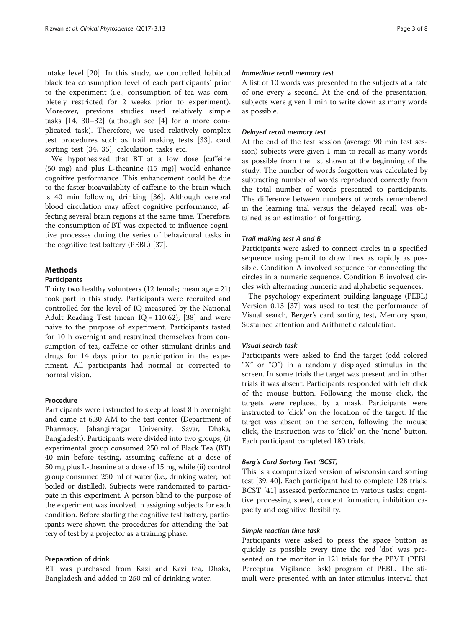intake level [[20\]](#page-6-0). In this study, we controlled habitual black tea consumption level of each participants' prior to the experiment (i.e., consumption of tea was completely restricted for 2 weeks prior to experiment). Moreover, previous studies used relatively simple tasks [[14, 30](#page-6-0)–[32\]](#page-6-0) (although see [[4\]](#page-6-0) for a more complicated task). Therefore, we used relatively complex test procedures such as trail making tests [[33\]](#page-6-0), card sorting test [[34, 35\]](#page-6-0), calculation tasks etc.

We hypothesized that BT at a low dose [caffeine (50 mg) and plus L-theanine (15 mg)] would enhance cognitive performance. This enhancement could be due to the faster bioavailablity of caffeine to the brain which is 40 min following drinking [[36\]](#page-6-0). Although cerebral blood circulation may affect cognitive performance, affecting several brain regions at the same time. Therefore, the consumption of BT was expected to influence cognitive processes during the series of behavioural tasks in the cognitive test battery (PEBL) [[37\]](#page-7-0).

#### Methods

#### Participants

Thirty two healthy volunteers  $(12 \text{ female}; \text{ mean age} = 21)$ took part in this study. Participants were recruited and controlled for the level of IQ measured by the National Adult Reading Test (mean  $IQ = 110.62$ ); [\[38\]](#page-7-0) and were naive to the purpose of experiment. Participants fasted for 10 h overnight and restrained themselves from consumption of tea, caffeine or other stimulant drinks and drugs for 14 days prior to participation in the experiment. All participants had normal or corrected to normal vision.

#### Procedure

Participants were instructed to sleep at least 8 h overnight and came at 6.30 AM to the test center (Department of Pharmacy, Jahangirnagar University, Savar, Dhaka, Bangladesh). Participants were divided into two groups; (i) experimental group consumed 250 ml of Black Tea (BT) 40 min before testing, assuming caffeine at a dose of 50 mg plus L-theanine at a dose of 15 mg while (ii) control group consumed 250 ml of water (i.e., drinking water; not boiled or distilled). Subjects were randomized to participate in this experiment. A person blind to the purpose of the experiment was involved in assigning subjects for each condition. Before starting the cognitive test battery, participants were shown the procedures for attending the battery of test by a projector as a training phase.

#### Preparation of drink

BT was purchased from Kazi and Kazi tea, Dhaka, Bangladesh and added to 250 ml of drinking water.

#### Immediate recall memory test

A list of 10 words was presented to the subjects at a rate of one every 2 second. At the end of the presentation, subjects were given 1 min to write down as many words as possible.

#### Delayed recall memory test

At the end of the test session (average 90 min test session) subjects were given 1 min to recall as many words as possible from the list shown at the beginning of the study. The number of words forgotten was calculated by subtracting number of words reproduced correctly from the total number of words presented to participants. The difference between numbers of words remembered in the learning trial versus the delayed recall was obtained as an estimation of forgetting.

#### Trail making test A and B

Participants were asked to connect circles in a specified sequence using pencil to draw lines as rapidly as possible. Condition A involved sequence for connecting the circles in a numeric sequence. Condition B involved circles with alternating numeric and alphabetic sequences.

The psychology experiment building language (PEBL) Version 0.13 [\[37](#page-7-0)] was used to test the performance of Visual search, Berger's card sorting test, Memory span, Sustained attention and Arithmetic calculation.

#### Visual search task

Participants were asked to find the target (odd colored "X" or "O") in a randomly displayed stimulus in the screen. In some trials the target was present and in other trials it was absent. Participants responded with left click of the mouse button. Following the mouse click, the targets were replaced by a mask. Participants were instructed to 'click' on the location of the target. If the target was absent on the screen, following the mouse click, the instruction was to 'click' on the 'none' button. Each participant completed 180 trials.

#### Berg's Card Sorting Test (BCST)

This is a computerized version of wisconsin card sorting test [\[39](#page-7-0), [40](#page-7-0)]. Each participant had to complete 128 trials. BCST [\[41](#page-7-0)] assessed performance in various tasks: cognitive processing speed, concept formation, inhibition capacity and cognitive flexibility.

#### Simple reaction time task

Participants were asked to press the space button as quickly as possible every time the red 'dot' was presented on the monitor in 121 trials for the PPVT (PEBL Perceptual Vigilance Task) program of PEBL. The stimuli were presented with an inter-stimulus interval that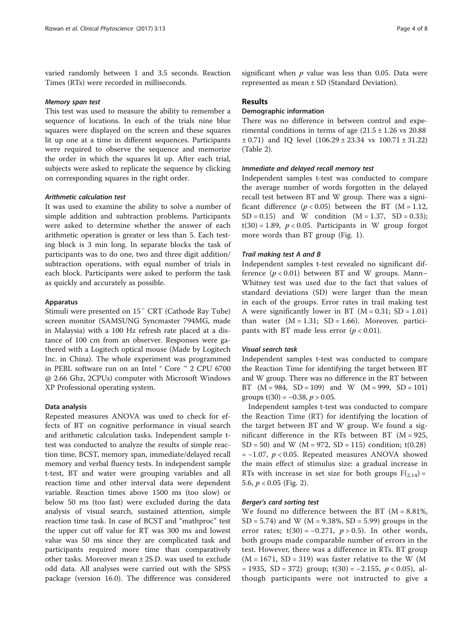varied randomly between 1 and 3.5 seconds. Reaction Times (RTs) were recorded in milliseconds.

#### Memory span test

This test was used to measure the ability to remember a sequence of locations. In each of the trials nine blue squares were displayed on the screen and these squares lit up one at a time in different sequences. Participants were required to observe the sequence and memorize the order in which the squares lit up. After each trial, subjects were asked to replicate the sequence by clicking on corresponding squares in the right order.

#### Arithmetic calculation test

It was used to examine the ability to solve a number of simple addition and subtraction problems. Participants were asked to determine whether the answer of each arithmetic operation is greater or less than 5. Each testing block is 3 min long. In separate blocks the task of participants was to do one, two and three digit addition/ subtraction operations, with equal number of trials in each block. Participants were asked to perform the task as quickly and accurately as possible.

#### Apparatus

Stimuli were presented on 15″ CRT (Cathode Ray Tube) screen monitor (SAMSUNG Syncmaster 794MG, made in Malaysia) with a 100 Hz refresh rate placed at a distance of 100 cm from an observer. Responses were gathered with a Logitech optical mouse (Made by Logitech Inc. in China). The whole experiment was programmed in PEBL software run on an Intel ® Core ™ 2 CPU 6700 @ 2.66 Ghz, 2CPUs) computer with Microsoft Windows XP Professional operating system.

#### Data analysis

Repeated measures ANOVA was used to check for effects of BT on cognitive performance in visual search and arithmetic calculation tasks. Independent sample ttest was conducted to analyze the results of simple reaction time, BCST, memory span, immediate/delayed recall memory and verbal fluency tests. In independent sample t-test, BT and water were grouping variables and all reaction time and other interval data were dependent variable. Reaction times above 1500 ms (too slow) or below 50 ms (too fast) were excluded during the data analysis of visual search, sustained attention, simple reaction time task. In case of BCST and "mathproc" test the upper cut off value for RT was 300 ms and lowest value was 50 ms since they are complicated task and participants required more time than comparatively other tasks. Moreover mean ± 2S.D. was used to exclude odd data. All analyses were carried out with the SPSS package (version 16.0). The difference was considered significant when  $p$  value was less than 0.05. Data were represented as mean ± SD (Standard Deviation).

#### Results

#### Demographic information

There was no difference in between control and experimental conditions in terms of age  $(21.5 \pm 1.26 \text{ vs } 20.88)$  $\pm$  0.71) and IQ level  $(106.29 \pm 23.34 \text{ vs } 100.71 \pm 31.22)$ (Table [2\)](#page-4-0).

#### Immediate and delayed recall memory test

Independent samples t-test was conducted to compare the average number of words forgotten in the delayed recall test between BT and W group. There was a significant difference  $(p < 0.05)$  between the BT (M = 1.12,  $SD = 0.15$ ) and W condition  $(M = 1.37, SD = 0.33)$ ;  $t(30) = 1.89$ ,  $p < 0.05$ . Participants in W group forgot more words than BT group (Fig. [1](#page-4-0)).

#### Trail making test A and B

Independent samples t-test revealed no significant difference  $(p < 0.01)$  between BT and W groups. Mann-Whitney test was used due to the fact that values of standard deviations (SD) were larger than the mean in each of the groups. Error rates in trail making test A were significantly lower in BT ( $M = 0.31$ ; SD = 1.01) than water  $(M = 1.31; SD = 1.66)$ . Moreover, participants with BT made less error  $(p < 0.01)$ .

#### Visual search task

Independent samples t-test was conducted to compare the Reaction Time for identifying the target between BT and W group. There was no difference in the RT between BT  $(M = 984, SD = 109)$  and W  $(M = 999, SD = 101)$ groups  $t(30) = -0.38$ ,  $p > 0.05$ .

Independent samples t-test was conducted to compare the Reaction Time (RT) for identifying the location of the target between BT and W group. We found a significant difference in the RTs between BT  $(M = 925,$ SD = 50) and W ( $M = 972$ , SD = 115) condition; t(0.28)  $= -1.07$ ,  $p < 0.05$ . Repeated measures ANOVA showed the main effect of stimulus size: a gradual increase in RTs with increase in set size for both groups  $F(2,14) =$ 5.6,  $p < 0.05$  (Fig. [2\)](#page-4-0).

#### Berger's card sorting test

We found no difference between the BT  $(M = 8.81\%)$  $SD = 5.74$ ) and W (M = 9.38%,  $SD = 5.99$ ) groups in the error rates;  $t(30) = -0.271$ ,  $p > 0.5$ ). In other words, both groups made comparable number of errors in the test. However, there was a difference in RTs. BT group  $(M = 1671, SD = 319)$  was faster relative to the W (M)  $= 1935$ , SD = 372) group; t(30) = -2.155,  $p < 0.05$ ), although participants were not instructed to give a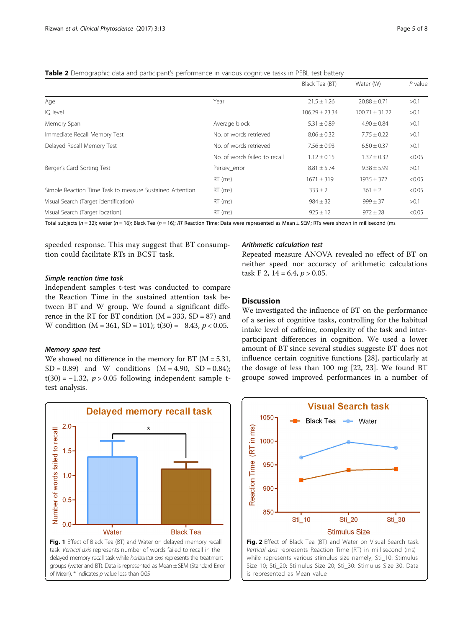<span id="page-4-0"></span>Table 2 Demographic data and participant's performance in various cognitive tasks in PEBL test battery

|                                                          |                               | Black Tea (BT)     | Water (W)          | $P$ value |
|----------------------------------------------------------|-------------------------------|--------------------|--------------------|-----------|
| Age                                                      | Year                          | $21.5 \pm 1.26$    | $20.88 \pm 0.71$   | >0.1      |
| IQ level                                                 |                               | $106.29 \pm 23.34$ | $100.71 \pm 31.22$ | > 0.1     |
| Memory Span                                              | Average block                 | $5.31 \pm 0.89$    | $4.90 \pm 0.84$    | > 0.1     |
| Immediate Recall Memory Test                             | No. of words retrieved        | $8.06 \pm 0.32$    | $7.75 \pm 0.22$    | >0.1      |
| Delayed Recall Memory Test                               | No. of words retrieved        | $7.56 \pm 0.93$    | $6.50 \pm 0.37$    | > 0.1     |
|                                                          | No. of words failed to recall | $1.12 \pm 0.15$    | $1.37 \pm 0.32$    | < 0.05    |
| Berger's Card Sorting Test                               | Persev_error                  | $8.81 \pm 5.74$    | $9.38 \pm 5.99$    | >0.1      |
|                                                          | $RT$ (ms)                     | $1671 \pm 319$     | $1935 \pm 372$     | < 0.05    |
| Simple Reaction Time Task to measure Sustained Attention | $RT$ (ms)                     | $333 \pm 2$        | $361 \pm 2$        | < 0.05    |
| Visual Search (Target identification)                    | $RT$ (ms)                     | $984 \pm 32$       | $999 \pm 37$       | >0.1      |
| Visual Search (Target location)                          | $RT$ (ms)                     | $925 \pm 12$       | $972 \pm 28$       | < 0.05    |

Total subjects (n = 32); water (n = 16); Black Tea (n = 16); RT Reaction Time; Data were represented as Mean ± SEM; RTs were shown in millisecond (ms

speeded response. This may suggest that BT consumption could facilitate RTs in BCST task.

#### Arithmetic calculation test

#### Simple reaction time task

Independent samples t-test was conducted to compare the Reaction Time in the sustained attention task between BT and W group. We found a significant difference in the RT for BT condition  $(M = 333, SD = 87)$  and W condition  $(M = 361, SD = 101)$ ; t(30) = -8.43,  $p < 0.05$ .

#### Memory span test

We showed no difference in the memory for BT ( $M = 5.31$ ,  $SD = 0.89$  and W conditions  $(M = 4.90, SD = 0.84)$ ; t(30) =  $-1.32$ ,  $p > 0.05$  following independent sample ttest analysis.





### **Discussion**

We investigated the influence of BT on the performance of a series of cognitive tasks, controlling for the habitual intake level of caffeine, complexity of the task and interparticipant differences in cognition. We used a lower amount of BT since several studies suggeste BT does not influence certain cognitive functions [\[28](#page-6-0)], particularly at the dosage of less than 100 mg [[22, 23\]](#page-6-0). We found BT groupe sowed improved performances in a number of



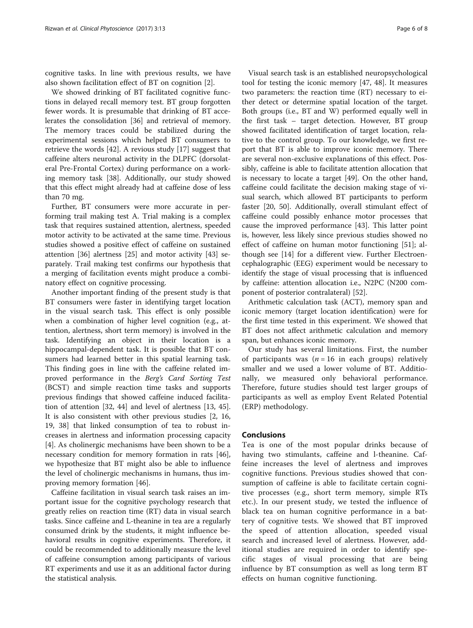cognitive tasks. In line with previous results, we have also shown facilitation effect of BT on cognition [\[2](#page-6-0)].

We showed drinking of BT facilitated cognitive functions in delayed recall memory test. BT group forgotten fewer words. It is presumable that drinking of BT accelerates the consolidation [\[36](#page-6-0)] and retrieval of memory. The memory traces could be stabilized during the experimental sessions which helped BT consumers to retrieve the words [\[42\]](#page-7-0). A revious study [[17\]](#page-6-0) suggest that caffeine alters neuronal activity in the DLPFC (dorsolateral Pre-Frontal Cortex) during performance on a working memory task [\[38](#page-7-0)]. Additionally, our study showed that this effect might already had at caffeine dose of less than 70 mg.

Further, BT consumers were more accurate in performing trail making test A. Trial making is a complex task that requires sustained attention, alertness, speeded motor activity to be activated at the same time. Previous studies showed a positive effect of caffeine on sustained attention [[36](#page-6-0)] alertness [\[25](#page-6-0)] and motor activity [[43\]](#page-7-0) separately. Trail making test confirms our hypothesis that a merging of facilitation events might produce a combinatory effect on cognitive processing.

Another important finding of the present study is that BT consumers were faster in identifying target location in the visual search task. This effect is only possible when a combination of higher level cognition (e.g., attention, alertness, short term memory) is involved in the task. Identifying an object in their location is a hippocampal-dependent task. It is possible that BT consumers had learned better in this spatial learning task. This finding goes in line with the caffeine related improved performance in the Berg's Card Sorting Test (BCST) and simple reaction time tasks and supports previous findings that showed caffeine induced facilitation of attention [\[32,](#page-6-0) [44\]](#page-7-0) and level of alertness [[13,](#page-6-0) [45](#page-7-0)]. It is also consistent with other previous studies [\[2](#page-6-0), [16](#page-6-0), [19,](#page-6-0) [38\]](#page-7-0) that linked consumption of tea to robust increases in alertness and information processing capacity [[4\]](#page-6-0). As cholinergic mechanisms have been shown to be a necessary condition for memory formation in rats [\[46](#page-7-0)], we hypothesize that BT might also be able to influence the level of cholinergic mechanisms in humans, thus improving memory formation [\[46](#page-7-0)].

Caffeine facilitation in visual search task raises an important issue for the cognitive psychology research that greatly relies on reaction time (RT) data in visual search tasks. Since caffeine and L-theanine in tea are a regularly consumed drink by the students, it might influence behavioral results in cognitive experiments. Therefore, it could be recommended to additionally measure the level of caffeine consumption among participants of various RT experiments and use it as an additional factor during the statistical analysis.

Visual search task is an established neuropsychological tool for testing the iconic memory [[47, 48](#page-7-0)]. It measures two parameters: the reaction time (RT) necessary to either detect or determine spatial location of the target. Both groups (i.e., BT and W) performed equally well in the first task – target detection. However, BT group showed facilitated identification of target location, relative to the control group. To our knowledge, we first report that BT is able to improve iconic memory. There are several non-exclusive explanations of this effect. Possibly, caffeine is able to facilitate attention allocation that is necessary to locate a target [\[49](#page-7-0)]. On the other hand, caffeine could facilitate the decision making stage of visual search, which allowed BT participants to perform faster [[20,](#page-6-0) [50](#page-7-0)]. Additionally, overall stimulant effect of caffeine could possibly enhance motor processes that cause the improved performance [\[43\]](#page-7-0). This latter point is, however, less likely since previous studies showed no effect of caffeine on human motor functioning [[51\]](#page-7-0); although see [\[14](#page-6-0)] for a different view. Further Electroencephalographic (EEG) experiment would be necessary to identify the stage of visual processing that is influenced by caffeine: attention allocation i.e., N2PC (N200 component of posterior contralateral) [[52](#page-7-0)].

Arithmetic calculation task (ACT), memory span and iconic memory (target location identification) were for the first time tested in this experiment. We showed that BT does not affect arithmetic calculation and memory span, but enhances iconic memory.

Our study has several limitations. First, the number of participants was  $(n = 16$  in each groups) relatively smaller and we used a lower volume of BT. Additionally, we measured only behavioral performance. Therefore, future studies should test larger groups of participants as well as employ Event Related Potential (ERP) methodology.

#### Conclusions

Tea is one of the most popular drinks because of having two stimulants, caffeine and l-theanine. Caffeine increases the level of alertness and improves cognitive functions. Previous studies showed that consumption of caffeine is able to facilitate certain cognitive processes (e.g., short term memory, simple RTs etc.). In our present study, we tested the influence of black tea on human cognitive performance in a battery of cognitive tests. We showed that BT improved the speed of attention allocation, speeded visual search and increased level of alertness. However, additional studies are required in order to identify specific stages of visual processing that are being influence by BT consumption as well as long term BT effects on human cognitive functioning.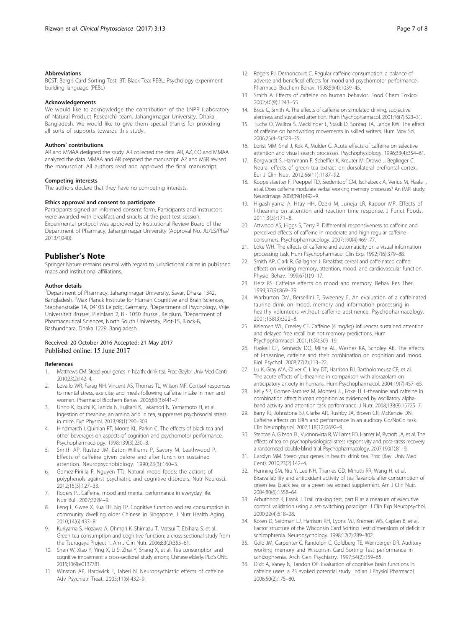#### <span id="page-6-0"></span>Abbreviations

BCST: Berg's Card Sorting Test; BT: Black Tea; PEBL: Psychology experiment building language (PEBL)

#### Acknowledgements

We would like to acknowledge the contribution of the LNPR (Laboratory of Natural Product Research) team, Jahangirnagar University, Dhaka, Bangladesh. We would like to give them special thanks for providing all sorts of supports towards this study.

#### Authors' contributions

AR and MMAA designed the study. AR collected the data. AR, AZ, CO and MMAA analyzed the data. MMAA and AR prepared the manuscript. AZ and MSR revised the manuscript. All authors read and approved the final manuscript.

#### Competing interests

The authors declare that they have no competing interests.

#### Ethics approval and consent to participate

Participants signed an informed consent form. Participants and instructors were awarded with breakfast and snacks at the post test session. Experimental protocol was approved by Institutional Review Board of the Department of Pharmacy, Jahangirnagar University (Approval No. JU/LS/Pha/ 2013/1040).

#### Publisher's Note

Springer Nature remains neutral with regard to jurisdictional claims in published maps and institutional affiliations.

#### Author details

<sup>1</sup>Department of Pharmacy, Jahangirnagar University, Savar, Dhaka 1342, Bangladesh. <sup>2</sup>Max Planck Institute for Human Cognitive and Brain Sciences, Stephanstraße 1A, 04103 Leipzig, Germany. <sup>3</sup>Department of Psychology, Vrije Universiteit Brussel, Pleinlaan 2, B - 1050 Brussel, Belgium. <sup>4</sup> Department of Pharmaceutical Sciences, North South University, Plot-15, Block-B, Bashundhara, Dhaka 1229, Bangladesh.

#### Received: 20 October 2016 Accepted: 21 May 2017 Published online: 15 June 2017

#### References

- 1. Matthews CM. Steep your genes in health: drink tea. Proc (Baylor Univ Med Cent). 2010;23(2):142–4.
- 2. Lovallo WR, Farag NH, Vincent AS, Thomas TL, Wilson MF. Cortisol responses to mental stress, exercise, and meals following caffeine intake in men and women. Pharmacol Biochem Behav. 2006;83(3):441–7.
- 3. Unno K, Iguchi K, Tanida N, Fujitani K, Takamori N, Yamamoto H, et al. Ingestion of theanine, an amino acid in tea, suppresses psychosocial stress in mice. Exp Physiol. 2013;98(1):290–303.
- 4. Hindmarch I, Quinlan PT, Moore KL, Parkin C. The effects of black tea and other beverages on aspects of cognition and psychomotor performance. Psychopharmacology. 1998;139(3):230–8.
- 5. Smith AP, Rusted JM, Eaton-Williams P, Savory M, Leathwood P. Effects of caffeine given before and after lunch on sustained attention. Neuropsychobiology. 1990;23(3):160–3.
- 6. Gomez-Pinilla F, Nguyen TTJ. Natural mood foods: the actions of polyphenols against psychiatric and cognitive disorders. Nutr Neurosci. 2012;15(3):127–33.
- 7. Rogers PJ. Caffeine, mood and mental performance in everyday life. Nutr Bull. 2007;32:84–9.
- 8. Feng L, Gwee X, Kua EH, Ng TP. Cognitive function and tea consumption in community dwelling older Chinese in Singapore. J Nutr Health Aging. 2010;14(6):433–8.
- 9. Kuriyama S, Hozawa A, Ohmori K, Shimazu T, Matsui T, Ebihara S, et al. Green tea consumption and cognitive function: a cross-sectional study from the Tsurugaya Project 1. Am J Clin Nutr. 2006;83(2):355–61.
- 10. Shen W, Xiao Y, Ying X, Li S, Zhai Y, Shang X, et al. Tea consumption and cognitive impairment: a cross-sectional study among Chinese elderly. PLoS ONE. 2015;10(9):e0137781.
- 11. Winston AP, Hardwick E, Jaberi N. Neuropsychiatric effects of caffeine. Adv Psychiatr Treat. 2005;11(6):432–9.
- 12. Rogers PJ, Dernoncourt C. Regular caffeine consumption: a balance of adverse and beneficial effects for mood and psychomotor performance. Pharmacol Biochem Behav. 1998;59(4):1039–45.
- 13. Smith A. Effects of caffeine on human behavior. Food Chem Toxicol. 2002;40(9):1243–55.
- 14. Brice C, Smith A. The effects of caffeine on simulated driving, subjective alertness and sustained attention. Hum Psychopharmacol. 2001;16(7):523–31.
- 15. Tucha O, Walitza S, Mecklinger L, Stasik D, Sontag TA, Lange KW. The effect of caffeine on handwriting movements in skilled writers. Hum Mov Sci. 2006;25(4–5):523–35.
- 16. Lorist MM, Snel J, Kok A, Mulder G. Acute effects of caffeine on selective attention and visual search processes. Psychophysiology. 1996;33(4):354–61.
- 17. Borgwardt S, Hammann F, Scheffler K, Kreuter M, Drewe J, Beglinger C. Neural effects of green tea extract on dorsolateral prefrontal cortex. Eur J Clin Nutr. 2012;66(11):1187–92.
- 18. Koppelstaetter F, Poeppel TD, Siedentopf CM, Ischebeck A, Verius M, Haala I, et al. Does caffeine modulate verbal working memory processes? An fMRI study. NeuroImage. 2008;39(1):492–9.
- 19. Higashiyama A, Htay HH, Ozeki M, Juneja LR, Kapoor MP. Effects of l-theanine on attention and reaction time response. J Funct Foods. 2011;3(3):171–8.
- 20. Attwood AS, Higgs S, Terry P. Differential responsiveness to caffeine and perceived effects of caffeine in moderate and high regular caffeine consumers. Psychopharmacology. 2007;190(4):469–77.
- 21. Loke WH. The effects of caffeine and automaticity on a visual information processing task. Hum Psychopharmacol Clin Exp. 1992;7(6):379–88.
- 22. Smith AP, Clark R, Gallagher J. Breakfast cereal and caffeinated coffee: effects on working memory, attention, mood, and cardiovascular function. Physiol Behav. 1999;67(1):9–17.
- 23. Herz RS. Caffeine effects on mood and memory. Behav Res Ther. 1999;37(9):869–79.
- 24. Warburton DM, Bersellini E, Sweeney E. An evaluation of a caffeinated taurine drink on mood, memory and information processing in healthy volunteers without caffeine abstinence. Psychopharmacology. 2001;158(3):322–8.
- 25. Kelemen WL, Creeley CE. Caffeine (4 mg/kg) influences sustained attention and delayed free recall but not memory predictions. Hum Psychopharmacol. 2001;16(4):309–19.
- 26. Haskell CF, Kennedy DO, Milne AL, Wesnes KA, Scholey AB. The effects of l-theanine, caffeine and their combination on cognition and mood. Biol Psychol. 2008;77(2):113–22.
- 27. Lu K, Gray MA, Oliver C, Liley DT, Harrison BJ, Bartholomeusz CF, et al. The acute effects of L-theanine in comparison with alprazolam on anticipatory anxiety in humans. Hum Psychopharmacol. 2004;19(7):457–65.
- 28. Kelly SP, Gomez-Ramirez M, Montesi JL, Foxe JJ. L-theanine and caffeine in combination affect human cognition as evidenced by oscillatory alphaband activity and attention task performance. J Nutr. 2008;138(8):1572S–7.
- 29. Barry RJ, Johnstone SJ, Clarke AR, Rushby JA, Brown CR, McKenzie DN. Caffeine effects on ERPs and performance in an auditory Go/NoGo task. Clin Neurophysiol. 2007;118(12):2692–9.
- 30. Steptoe A, Gibson EL, Vuononvirta R, Williams ED, Hamer M, Rycroft JA, et al. The effects of tea on psychophysiological stress responsivity and post-stress recovery: a randomised double-blind trial. Psychopharmacology. 2007;190(1):81–9.
- 31. Carolyn MM. Steep your genes in health: drink tea. Proc (Bayl Univ Med Cent). 2010;23(2):142–4.
- 32. Henning SM, Niu Y, Lee NH, Thames GD, Minutti RR, Wang H, et al. Bioavailability and antioxidant activity of tea flavanols after consumption of green tea, black tea, or a green tea extract supplement. Am J Clin Nutr. 2004;80(6):1558–64.
- 33. Arbuthnott K, Frank J. Trail making test, part B as a measure of executive control: validation using a set-switching paradigm. J Clin Exp Neuropsychol. 2000;22(4):518–28.
- 34. Koren D, Seidman LJ, Harrison RH, Lyons MJ, Kremen WS, Caplan B, et al. Factor structure of the Wisconsin Card Sorting Test: dimensions of deficit in schizophrenia. Neuropsychology. 1998;12(2):289–302.
- 35. Gold JM, Carpenter C, Randolph C, Goldberg TE, Weinberger DR. Auditory working memory and Wisconsin Card Sorting Test performance in schizophrenia. Arch Gen Psychiatry. 1997;54(2):159–65.
- 36. Dixit A, Vaney N, Tandon OP. Evaluation of cognitive brain functions in caffeine users: a P3 evoked potential study. Indian J Physiol Pharmacol. 2006;50(2):175–80.